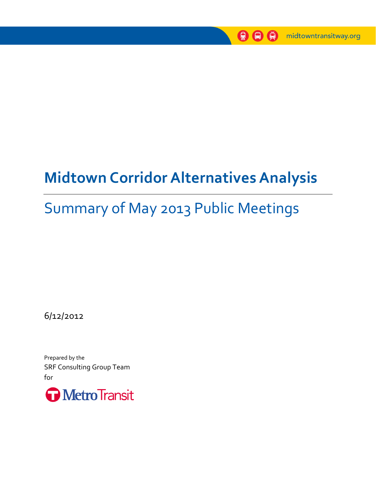

# **Midtown Corridor Alternatives Analysis**

## Summary of May 2013 Public Meetings

6/12/2012

Prepared by the SRF Consulting Group Team for

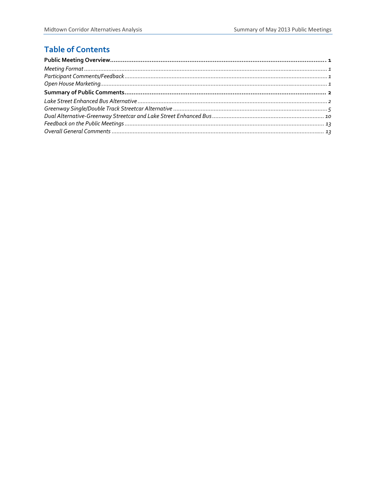## **Table of Contents**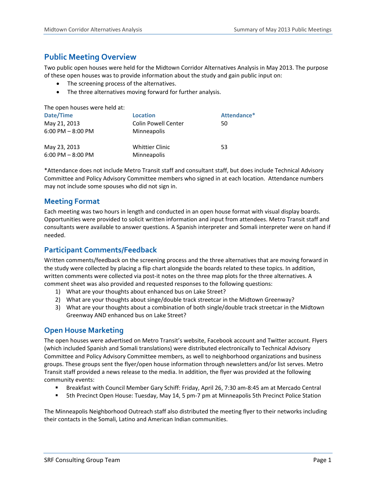## **Public Meeting Overview**

Two public open houses were held for the Midtown Corridor Alternatives Analysis in May 2013. The purpose of these open houses was to provide information about the study and gain public input on:

- The screening process of the alternatives.
- The three alternatives moving forward for further analysis.

The open houses were held at:

| Date/Time             | <b>Location</b>            | Attendance* |
|-----------------------|----------------------------|-------------|
| May 21, 2013          | <b>Colin Powell Center</b> | 50          |
| $6:00$ PM $- 8:00$ PM | <b>Minneapolis</b>         |             |
| May 23, 2013          | <b>Whittier Clinic</b>     | 53          |
| $6:00$ PM $- 8:00$ PM | Minneapolis                |             |

\*Attendance does not include Metro Transit staff and consultant staff, but does include Technical Advisory Committee and Policy Advisory Committee members who signed in at each location. Attendance numbers may not include some spouses who did not sign in.

### **Meeting Format**

Each meeting was two hours in length and conducted in an open house format with visual display boards. Opportunities were provided to solicit written information and input from attendees. Metro Transit staff and consultants were available to answer questions. A Spanish interpreter and Somali interpreter were on hand if needed.

## **Participant Comments/Feedback**

Written comments/feedback on the screening process and the three alternatives that are moving forward in the study were collected by placing a flip chart alongside the boards related to these topics. In addition, written comments were collected via post-it notes on the three map plots for the three alternatives. A comment sheet was also provided and requested responses to the following questions:

- 1) What are your thoughts about enhanced bus on Lake Street?
- 2) What are your thoughts about singe/double track streetcar in the Midtown Greenway?
- 3) What are your thoughts about a combination of both single/double track streetcar in the Midtown Greenway AND enhanced bus on Lake Street?

## **Open House Marketing**

The open houses were advertised on Metro Transit's website, Facebook account and Twitter account. Flyers (which included Spanish and Somali translations) were distributed electronically to Technical Advisory Committee and Policy Advisory Committee members, as well to neighborhood organizations and business groups. These groups sent the flyer/open house information through newsletters and/or list serves. Metro Transit staff provided a news release to the media. In addition, the flyer was provided at the following community events:

- Breakfast with Council Member Gary Schiff: Friday, April 26, 7:30 am‐8:45 am at Mercado Central
- 5th Precinct Open House: Tuesday, May 14, 5 pm-7 pm at Minneapolis 5th Precinct Police Station

The Minneapolis Neighborhood Outreach staff also distributed the meeting flyer to their networks including their contacts in the Somali, Latino and American Indian communities.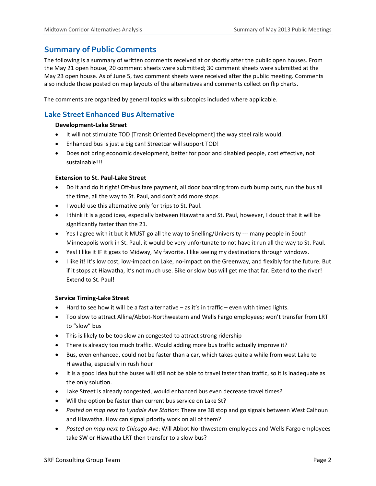## **Summary of Public Comments**

The following is a summary of written comments received at or shortly after the public open houses. From the May 21 open house, 20 comment sheets were submitted; 30 comment sheets were submitted at the May 23 open house. As of June 5, two comment sheets were received after the public meeting. Comments also include those posted on map layouts of the alternatives and comments collect on flip charts.

The comments are organized by general topics with subtopics included where applicable.

## **Lake Street Enhanced Bus Alternative**

#### **Development‐Lake Street**

- It will not stimulate TOD [Transit Oriented Development] the way steel rails would.
- Enhanced bus is just a big can! Streetcar will support TOD!
- Does not bring economic development, better for poor and disabled people, cost effective, not sustainable!!!

#### **Extension to St. Paul‐Lake Street**

- Do it and do it right! Off-bus fare payment, all door boarding from curb bump outs, run the bus all the time, all the way to St. Paul, and don't add more stops.
- I would use this alternative only for trips to St. Paul.
- I think it is a good idea, especially between Hiawatha and St. Paul, however, I doubt that it will be significantly faster than the 21.
- Yes I agree with it but it MUST go all the way to Snelling/University --- many people in South Minneapolis work in St. Paul, it would be very unfortunate to not have it run all the way to St. Paul.
- Yes! I like it IF it goes to Midway, My favorite. I like seeing my destinations through windows.
- I like it! It's low cost, low-impact on Lake, no-impact on the Greenway, and flexibly for the future. But if it stops at Hiawatha, it's not much use. Bike or slow bus will get me that far. Extend to the river! Extend to St. Paul!

#### **Service Timing‐Lake Street**

- $\bullet$  Hard to see how it will be a fast alternative as it's in traffic even with timed lights.
- Too slow to attract Allina/Abbot-Northwestern and Wells Fargo employees; won't transfer from LRT to "slow" bus
- This is likely to be too slow an congested to attract strong ridership
- There is already too much traffic. Would adding more bus traffic actually improve it?
- Bus, even enhanced, could not be faster than a car, which takes quite a while from west Lake to Hiawatha, especially in rush hour
- It is a good idea but the buses will still not be able to travel faster than traffic, so it is inadequate as the only solution.
- Lake Street is already congested, would enhanced bus even decrease travel times?
- Will the option be faster than current bus service on Lake St?
- *Posted on map next to Lyndale Ave Station*: There are 38 stop and go signals between West Calhoun and Hiawatha. How can signal priority work on all of them?
- *Posted on map next to Chicago Ave*: Will Abbot Northwestern employees and Wells Fargo employees take SW or Hiawatha LRT then transfer to a slow bus?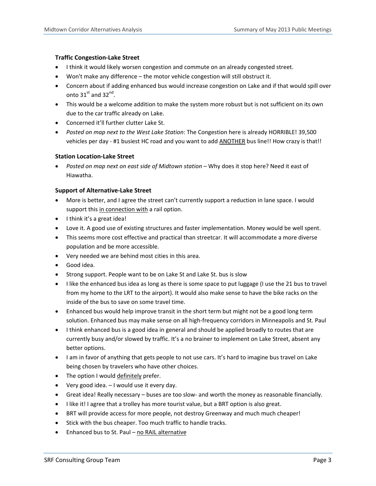#### **Traffic Congestion‐Lake Street**

- I think it would likely worsen congestion and commute on an already congested street.
- Won't make any difference the motor vehicle congestion will still obstruct it.
- Concern about if adding enhanced bus would increase congestion on Lake and if that would spill over onto  $31<sup>st</sup>$  and  $32<sup>nd</sup>$ .
- This would be a welcome addition to make the system more robust but is not sufficient on its own due to the car traffic already on Lake.
- Concerned it'll further clutter Lake St.
- *Posted on map next to the West Lake Station*: The Congestion here is already HORRIBLE! 39,500 vehicles per day - #1 busiest HC road and you want to add ANOTHER bus line!! How crazy is that!!

#### **Station Location‐Lake Street**

 *Posted on map next on east side of Midtown station* – Why does it stop here? Need it east of Hiawatha.

#### **Support of Alternative‐Lake Street**

- More is better, and I agree the street can't currently support a reduction in lane space. I would support this in connection with a rail option.
- I think it's a great idea!
- Love it. A good use of existing structures and faster implementation. Money would be well spent.
- This seems more cost effective and practical than streetcar. It will accommodate a more diverse population and be more accessible.
- Very needed we are behind most cities in this area.
- Good idea.
- Strong support. People want to be on Lake St and Lake St. bus is slow
- I like the enhanced bus idea as long as there is some space to put luggage (I use the 21 bus to travel from my home to the LRT to the airport). It would also make sense to have the bike racks on the inside of the bus to save on some travel time.
- Enhanced bus would help improve transit in the short term but might not be a good long term solution. Enhanced bus may make sense on all high-frequency corridors in Minneapolis and St. Paul
- I think enhanced bus is a good idea in general and should be applied broadly to routes that are currently busy and/or slowed by traffic. It's a no brainer to implement on Lake Street, absent any better options.
- I am in favor of anything that gets people to not use cars. It's hard to imagine bus travel on Lake being chosen by travelers who have other choices.
- The option I would definitely prefer.
- Very good idea. I would use it every day.
- Great idea! Really necessary buses are too slow- and worth the money as reasonable financially.
- I like it! I agree that a trolley has more tourist value, but a BRT option is also great.
- BRT will provide access for more people, not destroy Greenway and much much cheaper!
- Stick with the bus cheaper. Too much traffic to handle tracks.
- Enhanced bus to St. Paul no RAIL alternative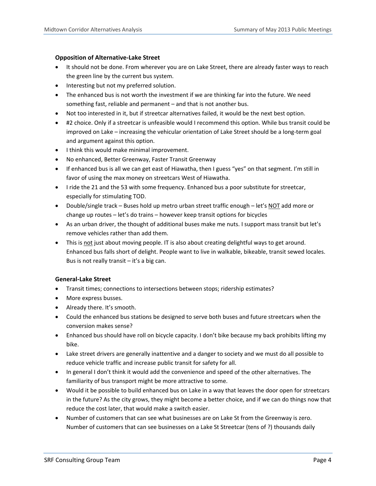#### **Opposition of Alternative‐Lake Street**

- It should not be done. From wherever you are on Lake Street, there are already faster ways to reach the green line by the current bus system.
- Interesting but not my preferred solution.
- The enhanced bus is not worth the investment if we are thinking far into the future. We need something fast, reliable and permanent – and that is not another bus.
- Not too interested in it, but if streetcar alternatives failed, it would be the next best option.
- #2 choice. Only if a streetcar is unfeasible would I recommend this option. While bus transit could be improved on Lake – increasing the vehicular orientation of Lake Street should be a long-term goal and argument against this option.
- I think this would make minimal improvement.
- No enhanced, Better Greenway, Faster Transit Greenway
- If enhanced bus is all we can get east of Hiawatha, then I guess "yes" on that segment. I'm still in favor of using the max money on streetcars West of Hiawatha.
- I ride the 21 and the 53 with some frequency. Enhanced bus a poor substitute for streetcar, especially for stimulating TOD.
- Double/single track Buses hold up metro urban street traffic enough let's NOT add more or change up routes – let's do trains – however keep transit options for bicycles
- As an urban driver, the thought of additional buses make me nuts. I support mass transit but let's remove vehicles rather than add them.
- This is not just about moving people. IT is also about creating delightful ways to get around. Enhanced bus falls short of delight. People want to live in walkable, bikeable, transit sewed locales. Bus is not really transit  $-$  it's a big can.

#### **General‐Lake Street**

- Transit times; connections to intersections between stops; ridership estimates?
- More express busses.
- Already there. It's smooth.
- Could the enhanced bus stations be designed to serve both buses and future streetcars when the conversion makes sense?
- Enhanced bus should have roll on bicycle capacity. I don't bike because my back prohibits lifting my bike.
- Lake street drivers are generally inattentive and a danger to society and we must do all possible to reduce vehicle traffic and increase public transit for safety for all.
- In general I don't think it would add the convenience and speed of the other alternatives. The familiarity of bus transport might be more attractive to some.
- Would it be possible to build enhanced bus on Lake in a way that leaves the door open for streetcars in the future? As the city grows, they might become a better choice, and if we can do things now that reduce the cost later, that would make a switch easier.
- Number of customers that can see what businesses are on Lake St from the Greenway is zero. Number of customers that can see businesses on a Lake St Streetcar (tens of ?) thousands daily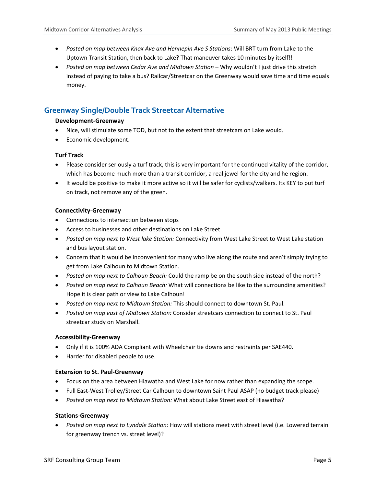- *Posted on map between Knox Ave and Hennepin Ave S Stations*: Will BRT turn from Lake to the Uptown Transit Station, then back to Lake? That maneuver takes 10 minutes by itself!!
- *Posted on map between Cedar Ave and Midtown Station* Why wouldn't I just drive this stretch instead of paying to take a bus? Railcar/Streetcar on the Greenway would save time and time equals money.

## **Greenway Single/Double Track Streetcar Alternative**

#### **Development‐Greenway**

- Nice, will stimulate some TOD, but not to the extent that streetcars on Lake would.
- Economic development.

#### **Turf Track**

- Please consider seriously a turf track, this is very important for the continued vitality of the corridor, which has become much more than a transit corridor, a real jewel for the city and he region.
- It would be positive to make it more active so it will be safer for cyclists/walkers. Its KEY to put turf on track, not remove any of the green.

#### **Connectivity‐Greenway**

- Connections to intersection between stops
- Access to businesses and other destinations on Lake Street.
- *Posted on map next to West lake Station:* Connectivity from West Lake Street to West Lake station and bus layout station.
- Concern that it would be inconvenient for many who live along the route and aren't simply trying to get from Lake Calhoun to Midtown Station.
- *Posted on map next to Calhoun Beach:* Could the ramp be on the south side instead of the north?
- *Posted on map next to Calhoun Beach:* What will connections be like to the surrounding amenities? Hope it is clear path or view to Lake Calhoun!
- *Posted on map next to Midtown Station:* This should connect to downtown St. Paul.
- *Posted on map east of Midtown Station:* Consider streetcars connection to connect to St. Paul streetcar study on Marshall.

#### **Accessibility‐Greenway**

- Only if it is 100% ADA Compliant with Wheelchair tie downs and restraints per SAE440.
- Harder for disabled people to use.

#### **Extension to St. Paul‐Greenway**

- Focus on the area between Hiawatha and West Lake for now rather than expanding the scope.
- Full East-West Trolley/Street Car Calhoun to downtown Saint Paul ASAP (no budget track please)
- *Posted on map next to Midtown Station:* What about Lake Street east of Hiawatha?

#### **Stations‐Greenway**

 *Posted on map next to Lyndale Station:* How will stations meet with street level (i.e. Lowered terrain for greenway trench vs. street level)?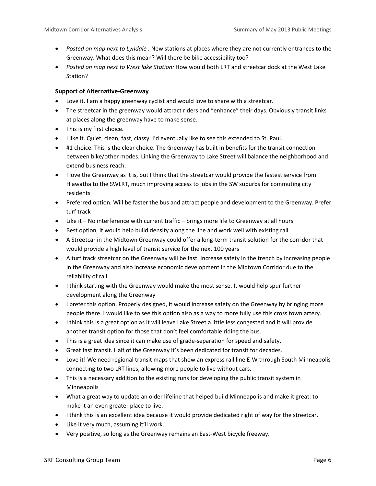- *Posted on map next to Lyndale :* New stations at places where they are not currently entrances to the Greenway. What does this mean? Will there be bike accessibility too?
- *Posted on map next to West lake Station:* How would both LRT and streetcar dock at the West Lake Station?

#### **Support of Alternative‐Greenway**

- Love it. I am a happy greenway cyclist and would love to share with a streetcar.
- The streetcar in the greenway would attract riders and "enhance" their days. Obviously transit links at places along the greenway have to make sense.
- This is my first choice.
- I like it. Quiet, clean, fast, classy. I'd eventually like to see this extended to St. Paul.
- #1 choice. This is the clear choice. The Greenway has built in benefits for the transit connection between bike/other modes. Linking the Greenway to Lake Street will balance the neighborhood and extend business reach.
- I love the Greenway as it is, but I think that the streetcar would provide the fastest service from Hiawatha to the SWLRT, much improving access to jobs in the SW suburbs for commuting city residents
- Preferred option. Will be faster the bus and attract people and development to the Greenway. Prefer turf track
- Like it No interference with current traffic brings more life to Greenway at all hours
- Best option, it would help build density along the line and work well with existing rail
- A Streetcar in the Midtown Greenway could offer a long‐term transit solution for the corridor that would provide a high level of transit service for the next 100 years
- A turf track streetcar on the Greenway will be fast. Increase safety in the trench by increasing people in the Greenway and also increase economic development in the Midtown Corridor due to the reliability of rail.
- I think starting with the Greenway would make the most sense. It would help spur further development along the Greenway
- I prefer this option. Properly designed, it would increase safety on the Greenway by bringing more people there. I would like to see this option also as a way to more fully use this cross town artery.
- I think this is a great option as it will leave Lake Street a little less congested and it will provide another transit option for those that don't feel comfortable riding the bus.
- This is a great idea since it can make use of grade‐separation for speed and safety.
- Great fast transit. Half of the Greenway it's been dedicated for transit for decades.
- Love it! We need regional transit maps that show an express rail line E-W through South Minneapolis connecting to two LRT lines, allowing more people to live without cars.
- This is a necessary addition to the existing runs for developing the public transit system in Minneapolis
- What a great way to update an older lifeline that helped build Minneapolis and make it great: to make it an even greater place to live.
- I think this is an excellent idea because it would provide dedicated right of way for the streetcar.
- Like it very much, assuming it'll work.
- Very positive, so long as the Greenway remains an East-West bicycle freeway.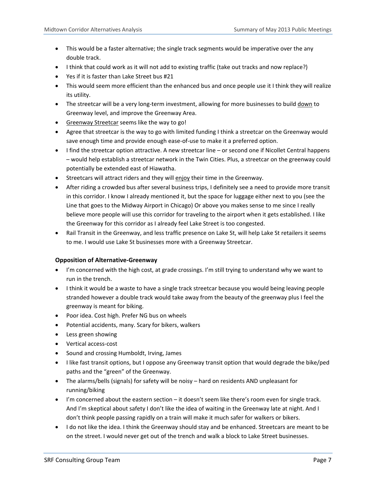- This would be a faster alternative; the single track segments would be imperative over the any double track.
- I think that could work as it will not add to existing traffic (take out tracks and now replace?)
- Yes if it is faster than Lake Street bus #21
- This would seem more efficient than the enhanced bus and once people use it I think they will realize its utility.
- The streetcar will be a very long-term investment, allowing for more businesses to build down to Greenway level, and improve the Greenway Area.
- Greenway Streetcar seems like the way to go!
- Agree that streetcar is the way to go with limited funding I think a streetcar on the Greenway would save enough time and provide enough ease-of-use to make it a preferred option.
- I find the streetcar option attractive. A new streetcar line or second one if Nicollet Central happens – would help establish a streetcar network in the Twin Cities. Plus, a streetcar on the greenway could potentially be extended east of Hiawatha.
- Streetcars will attract riders and they will enjoy their time in the Greenway.
- After riding a crowded bus after several business trips, I definitely see a need to provide more transit in this corridor. I know I already mentioned it, but the space for luggage either next to you (see the Line that goes to the Midway Airport in Chicago) Or above you makes sense to me since I really believe more people will use this corridor for traveling to the airport when it gets established. I like the Greenway for this corridor as I already feel Lake Street is too congested.
- Rail Transit in the Greenway, and less traffic presence on Lake St, will help Lake St retailers it seems to me. I would use Lake St businesses more with a Greenway Streetcar.

#### **Opposition of Alternative‐Greenway**

- I'm concerned with the high cost, at grade crossings. I'm still trying to understand why we want to run in the trench.
- I think it would be a waste to have a single track streetcar because you would being leaving people stranded however a double track would take away from the beauty of the greenway plus I feel the greenway is meant for biking.
- Poor idea. Cost high. Prefer NG bus on wheels
- Potential accidents, many. Scary for bikers, walkers
- Less green showing
- Vertical access‐cost
- Sound and crossing Humboldt, Irving, James
- I like fast transit options, but I oppose any Greenway transit option that would degrade the bike/ped paths and the "green" of the Greenway.
- The alarms/bells (signals) for safety will be noisy hard on residents AND unpleasant for running/biking
- $\bullet$  I'm concerned about the eastern section it doesn't seem like there's room even for single track. And I'm skeptical about safety I don't like the idea of waiting in the Greenway late at night. And I don't think people passing rapidly on a train will make it much safer for walkers or bikers.
- I do not like the idea. I think the Greenway should stay and be enhanced. Streetcars are meant to be on the street. I would never get out of the trench and walk a block to Lake Street businesses.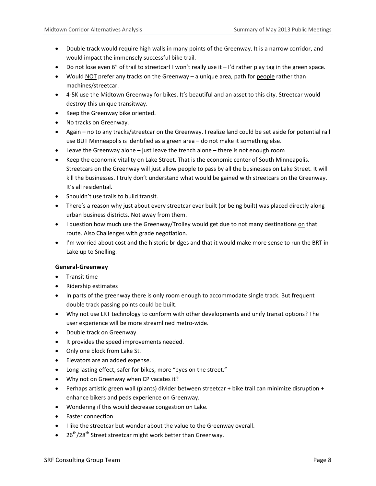- Double track would require high walls in many points of the Greenway. It is a narrow corridor, and would impact the immensely successful bike trail.
- Do not lose even 6" of trail to streetcar! I won't really use it I'd rather play tag in the green space.
- Would NOT prefer any tracks on the Greenway a unique area, path for people rather than machines/streetcar.
- 4-5K use the Midtown Greenway for bikes. It's beautiful and an asset to this city. Streetcar would destroy this unique transitway.
- Keep the Greenway bike oriented.
- No tracks on Greenway.
- Again no to any tracks/streetcar on the Greenway. I realize land could be set aside for potential rail use BUT Minneapolis is identified as a green area - do not make it something else.
- Leave the Greenway alone just leave the trench alone there is not enough room
- Keep the economic vitality on Lake Street. That is the economic center of South Minneapolis. Streetcars on the Greenway will just allow people to pass by all the businesses on Lake Street. It will kill the businesses. I truly don't understand what would be gained with streetcars on the Greenway. It's all residential.
- Shouldn't use trails to build transit.
- There's a reason why just about every streetcar ever built (or being built) was placed directly along urban business districts. Not away from them.
- I question how much use the Greenway/Trolley would get due to not many destinations on that route. Also Challenges with grade negotiation.
- I'm worried about cost and the historic bridges and that it would make more sense to run the BRT in Lake up to Snelling.

#### **General‐Greenway**

- Transit time
- Ridership estimates
- In parts of the greenway there is only room enough to accommodate single track. But frequent double track passing points could be built.
- Why not use LRT technology to conform with other developments and unify transit options? The user experience will be more streamlined metro‐wide.
- Double track on Greenway.
- It provides the speed improvements needed.
- Only one block from Lake St.
- Elevators are an added expense.
- Long lasting effect, safer for bikes, more "eyes on the street."
- Why not on Greenway when CP vacates it?
- Perhaps artistic green wall (plants) divider between streetcar + bike trail can minimize disruption + enhance bikers and peds experience on Greenway.
- Wondering if this would decrease congestion on Lake.
- Faster connection
- I like the streetcar but wonder about the value to the Greenway overall.
- $\bullet$  26<sup>th</sup>/28<sup>th</sup> Street streetcar might work better than Greenway.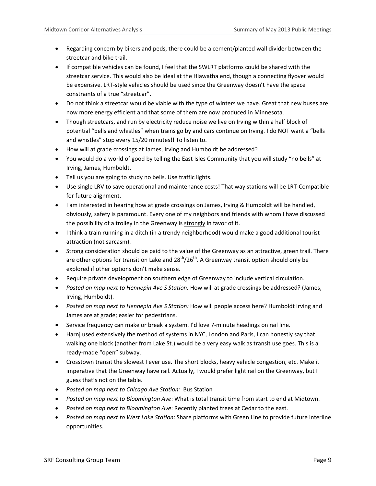- Regarding concern by bikers and peds, there could be a cement/planted wall divider between the streetcar and bike trail.
- If compatible vehicles can be found, I feel that the SWLRT platforms could be shared with the streetcar service. This would also be ideal at the Hiawatha end, though a connecting flyover would be expensive. LRT‐style vehicles should be used since the Greenway doesn't have the space constraints of a true "streetcar".
- Do not think a streetcar would be viable with the type of winters we have. Great that new buses are now more energy efficient and that some of them are now produced in Minnesota.
- Though streetcars, and run by electricity reduce noise we live on Irving within a half block of potential "bells and whistles" when trains go by and cars continue on Irving. I do NOT want a "bells and whistles" stop every 15/20 minutes!! To listen to.
- How will at grade crossings at James, Irving and Humboldt be addressed?
- You would do a world of good by telling the East Isles Community that you will study "no bells" at Irving, James, Humboldt.
- Tell us you are going to study no bells. Use traffic lights.
- Use single LRV to save operational and maintenance costs! That way stations will be LRT-Compatible for future alignment.
- I am interested in hearing how at grade crossings on James, Irving & Humboldt will be handled, obviously, safety is paramount. Every one of my neighbors and friends with whom I have discussed the possibility of a trolley in the Greenway is strongly in favor of it.
- I think a train running in a ditch (in a trendy neighborhood) would make a good additional tourist attraction (not sarcasm).
- Strong consideration should be paid to the value of the Greenway as an attractive, green trail. There are other options for transit on Lake and  $28<sup>th</sup>/26<sup>th</sup>$ . A Greenway transit option should only be explored if other options don't make sense.
- Require private development on southern edge of Greenway to include vertical circulation.
- *Posted on map next to Hennepin Ave S Station:* How will at grade crossings be addressed? (James, Irving, Humboldt).
- *Posted on map next to Hennepin Ave S Station:* How will people access here? Humboldt Irving and James are at grade; easier for pedestrians.
- Service frequency can make or break a system. I'd love 7-minute headings on rail line.
- Harnj used extensively the method of systems in NYC, London and Paris, I can honestly say that walking one block (another from Lake St.) would be a very easy walk as transit use goes. This is a ready‐made "open" subway.
- Crosstown transit the slowest I ever use. The short blocks, heavy vehicle congestion, etc. Make it imperative that the Greenway have rail. Actually, I would prefer light rail on the Greenway, but I guess that's not on the table.
- *Posted on map next to Chicago Ave Station:* Bus Station
- *Posted on map next to Bloomington Ave*: What is total transit time from start to end at Midtown.
- *Posted on map next to Bloomington Ave*: Recently planted trees at Cedar to the east.
- *Posted on map next to West Lake Station*: Share platforms with Green Line to provide future interline opportunities.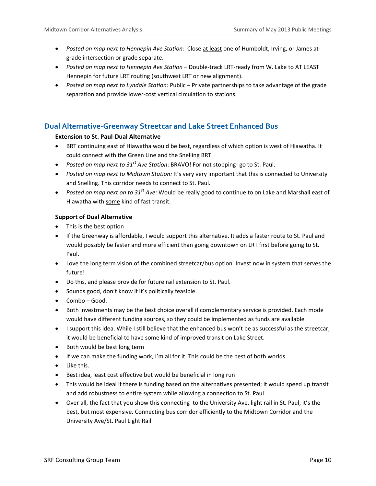- *Posted on map next to Hennepin Ave Station:* Close at least one of Humboldt, Irving, or James at‐ grade intersection or grade separate.
- *Posted on map next to Hennepin Ave Station –* Double‐track LRT‐ready from W. Lake to AT LEAST Hennepin for future LRT routing (southwest LRT or new alignment).
- *Posted on map next to Lyndale Station:* Public Private partnerships to take advantage of the grade separation and provide lower‐cost vertical circulation to stations.

### **Dual Alternative‐Greenway Streetcar and Lake Street Enhanced Bus**

#### **Extension to St. Paul‐Dual Alternative**

- BRT continuing east of Hiawatha would be best, regardless of which option is west of Hiawatha. It could connect with the Green Line and the Snelling BRT.
- *Posted on map next to 31st Ave Station*: BRAVO! For not stopping‐ go to St. Paul.
- *Posted on map next to Midtown Station:* It's very very important that this is connected to University and Snelling. This corridor needs to connect to St. Paul.
- *Posted on map next on to 31st Ave:* Would be really good to continue to on Lake and Marshall east of Hiawatha with some kind of fast transit.

#### **Support of Dual Alternative**

- This is the best option
- If the Greenway is affordable, I would support this alternative. It adds a faster route to St. Paul and would possibly be faster and more efficient than going downtown on LRT first before going to St. Paul.
- Love the long term vision of the combined streetcar/bus option. Invest now in system that serves the future!
- Do this, and please provide for future rail extension to St. Paul.
- Sounds good, don't know if it's politically feasible.
- Combo Good.
- Both investments may be the best choice overall if complementary service is provided. Each mode would have different funding sources, so they could be implemented as funds are available
- I support this idea. While I still believe that the enhanced bus won't be as successful as the streetcar, it would be beneficial to have some kind of improved transit on Lake Street.
- Both would be best long term
- If we can make the funding work, I'm all for it. This could be the best of both worlds.
- Like this.
- Best idea, least cost effective but would be beneficial in long run
- This would be ideal if there is funding based on the alternatives presented; it would speed up transit and add robustness to entire system while allowing a connection to St. Paul
- Over all, the fact that you show this connecting to the University Ave, light rail in St. Paul, it's the best, but most expensive. Connecting bus corridor efficiently to the Midtown Corridor and the University Ave/St. Paul Light Rail.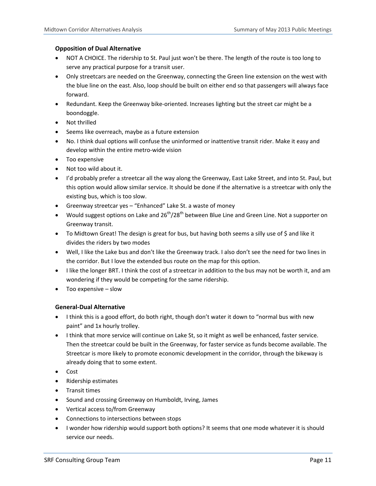#### **Opposition of Dual Alternative**

- NOT A CHOICE. The ridership to St. Paul just won't be there. The length of the route is too long to serve any practical purpose for a transit user.
- Only streetcars are needed on the Greenway, connecting the Green line extension on the west with the blue line on the east. Also, loop should be built on either end so that passengers will always face forward.
- Redundant. Keep the Greenway bike-oriented. Increases lighting but the street car might be a boondoggle.
- Not thrilled
- Seems like overreach, maybe as a future extension
- No. I think dual options will confuse the uninformed or inattentive transit rider. Make it easy and develop within the entire metro‐wide vision
- Too expensive
- Not too wild about it.
- I'd probably prefer a streetcar all the way along the Greenway, East Lake Street, and into St. Paul, but this option would allow similar service. It should be done if the alternative is a streetcar with only the existing bus, which is too slow.
- Greenway streetcar yes "Enhanced" Lake St. a waste of money
- Would suggest options on Lake and  $26^{th}/28^{th}$  between Blue Line and Green Line. Not a supporter on Greenway transit.
- To Midtown Great! The design is great for bus, but having both seems a silly use of \$ and like it divides the riders by two modes
- Well, I like the Lake bus and don't like the Greenway track. I also don't see the need for two lines in the corridor. But I love the extended bus route on the map for this option.
- I like the longer BRT. I think the cost of a streetcar in addition to the bus may not be worth it, and am wondering if they would be competing for the same ridership.
- Too expensive slow

#### **General‐Dual Alternative**

- I think this is a good effort, do both right, though don't water it down to "normal bus with new paint" and 1x hourly trolley.
- I think that more service will continue on Lake St, so it might as well be enhanced, faster service. Then the streetcar could be built in the Greenway, for faster service as funds become available. The Streetcar is more likely to promote economic development in the corridor, through the bikeway is already doing that to some extent.
- Cost
- Ridership estimates
- **•** Transit times
- Sound and crossing Greenway on Humboldt, Irving, James
- Vertical access to/from Greenway
- Connections to intersections between stops
- I wonder how ridership would support both options? It seems that one mode whatever it is should service our needs.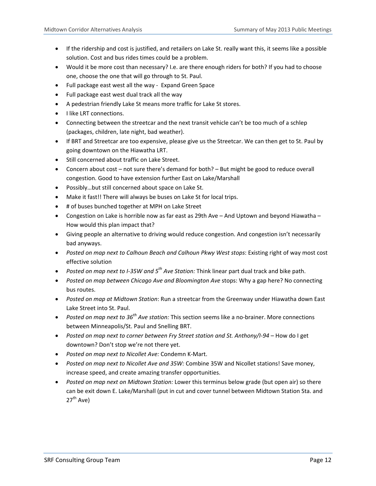- If the ridership and cost is justified, and retailers on Lake St. really want this, it seems like a possible solution. Cost and bus rides times could be a problem.
- Would it be more cost than necessary? I.e. are there enough riders for both? If you had to choose one, choose the one that will go through to St. Paul.
- Full package east west all the way ‐ Expand Green Space
- Full package east west dual track all the way
- A pedestrian friendly Lake St means more traffic for Lake St stores.
- I like LRT connections.
- Connecting between the streetcar and the next transit vehicle can't be too much of a schlep (packages, children, late night, bad weather).
- If BRT and Streetcar are too expensive, please give us the Streetcar. We can then get to St. Paul by going downtown on the Hiawatha LRT.
- Still concerned about traffic on Lake Street.
- Concern about cost not sure there's demand for both? But might be good to reduce overall congestion. Good to have extension further East on Lake/Marshall
- Possibly...but still concerned about space on Lake St.
- Make it fast!! There will always be buses on Lake St for local trips.
- # of buses bunched together at MPH on Lake Street
- Congestion on Lake is horrible now as far east as 29th Ave And Uptown and beyond Hiawatha How would this plan impact that?
- Giving people an alternative to driving would reduce congestion. And congestion isn't necessarily bad anyways.
- *Posted on map next to Calhoun Beach and Calhoun Pkwy West stops*: Existing right of way most cost effective solution
- *Posted on map next to I‐35W and 5th Ave Station:* Think linear part dual track and bike path.
- *Posted on map between Chicago Ave and Bloomington Ave* stops: Why a gap here? No connecting bus routes.
- *Posted on map at Midtown Station*: Run a streetcar from the Greenway under Hiawatha down East Lake Street into St. Paul.
- *Posted on map next to 36th Ave station:* This section seems like a no‐brainer. More connections between Minneapolis/St. Paul and Snelling BRT.
- *Posted on map next to corner between Fry Street station and St. Anthony/I‐94* How do I get downtown? Don't stop we're not there yet.
- *Posted on map next to Nicollet Ave:* Condemn K‐Mart.
- *Posted on map next to Nicollet Ave and 35W:* Combine 35W and Nicollet stations! Save money, increase speed, and create amazing transfer opportunities.
- *Posted on map next on Midtown Station:* Lower this terminus below grade (but open air) so there can be exit down E. Lake/Marshall (put in cut and cover tunnel between Midtown Station Sta. and  $27<sup>th</sup>$  Ave)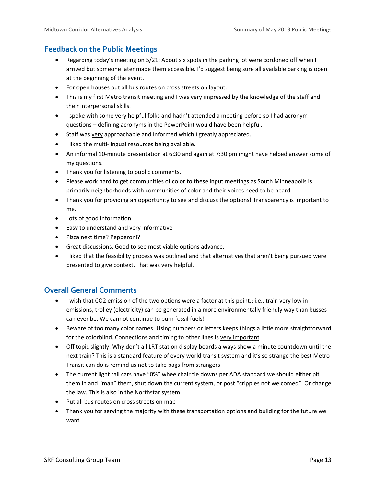## **Feedback on the Public Meetings**

- Regarding today's meeting on 5/21: About six spots in the parking lot were cordoned off when I arrived but someone later made them accessible. I'd suggest being sure all available parking is open at the beginning of the event.
- For open houses put all bus routes on cross streets on layout.
- This is my first Metro transit meeting and I was very impressed by the knowledge of the staff and their interpersonal skills.
- I spoke with some very helpful folks and hadn't attended a meeting before so I had acronym questions – defining acronyms in the PowerPoint would have been helpful.
- Staff was very approachable and informed which I greatly appreciated.
- I liked the multi-lingual resources being available.
- An informal 10‐minute presentation at 6:30 and again at 7:30 pm might have helped answer some of my questions.
- Thank you for listening to public comments.
- Please work hard to get communities of color to these input meetings as South Minneapolis is primarily neighborhoods with communities of color and their voices need to be heard.
- Thank you for providing an opportunity to see and discuss the options! Transparency is important to me.
- Lots of good information
- Easy to understand and very informative
- Pizza next time? Pepperoni?
- Great discussions. Good to see most viable options advance.
- I liked that the feasibility process was outlined and that alternatives that aren't being pursued were presented to give context. That was very helpful.

## **Overall General Comments**

- I wish that CO2 emission of the two options were a factor at this point.; i.e., train very low in emissions, trolley (electricity) can be generated in a more environmentally friendly way than busses can ever be. We cannot continue to burn fossil fuels!
- Beware of too many color names! Using numbers or letters keeps things a little more straightforward for the colorblind. Connections and timing to other lines is very important
- Off topic slightly: Why don't all LRT station display boards always show a minute countdown until the next train? This is a standard feature of every world transit system and it's so strange the best Metro Transit can do is remind us not to take bags from strangers
- The current light rail cars have "0%" wheelchair tie downs per ADA standard we should either pit them in and "man" them, shut down the current system, or post "cripples not welcomed". Or change the law. This is also in the Northstar system.
- Put all bus routes on cross streets on map
- Thank you for serving the majority with these transportation options and building for the future we want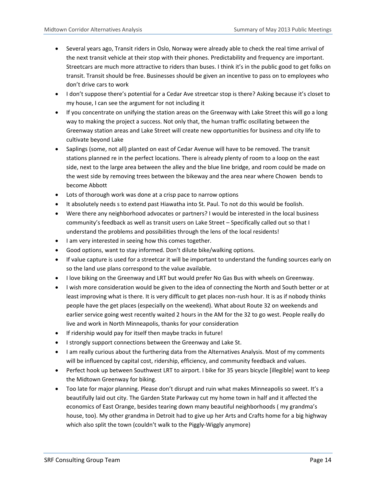- Several years ago, Transit riders in Oslo, Norway were already able to check the real time arrival of the next transit vehicle at their stop with their phones. Predictability and frequency are important. Streetcars are much more attractive to riders than buses. I think it's in the public good to get folks on transit. Transit should be free. Businesses should be given an incentive to pass on to employees who don't drive cars to work
- I don't suppose there's potential for a Cedar Ave streetcar stop is there? Asking because it's closet to my house, I can see the argument for not including it
- If you concentrate on unifying the station areas on the Greenway with Lake Street this will go a long way to making the project a success. Not only that, the human traffic oscillating between the Greenway station areas and Lake Street will create new opportunities for business and city life to cultivate beyond Lake
- Saplings (some, not all) planted on east of Cedar Avenue will have to be removed. The transit stations planned re in the perfect locations. There is already plenty of room to a loop on the east side, next to the large area between the alley and the blue line bridge, and room could be made on the west side by removing trees between the bikeway and the area near where Chowen bends to become Abbott
- Lots of thorough work was done at a crisp pace to narrow options
- It absolutely needs s to extend past Hiawatha into St. Paul. To not do this would be foolish.
- Were there any neighborhood advocates or partners? I would be interested in the local business community's feedback as well as transit users on Lake Street – Specifically called out so that I understand the problems and possibilities through the lens of the local residents!
- I am very interested in seeing how this comes together.
- Good options, want to stay informed. Don't dilute bike/walking options.
- If value capture is used for a streetcar it will be important to understand the funding sources early on so the land use plans correspond to the value available.
- I love biking on the Greenway and LRT but would prefer No Gas Bus with wheels on Greenway.
- I wish more consideration would be given to the idea of connecting the North and South better or at least improving what is there. It is very difficult to get places non-rush hour. It is as if nobody thinks people have the get places (especially on the weekend). What about Route 32 on weekends and earlier service going west recently waited 2 hours in the AM for the 32 to go west. People really do live and work in North Minneapolis, thanks for your consideration
- If ridership would pay for itself then maybe tracks in future!
- **I strongly support connections between the Greenway and Lake St.**
- I am really curious about the furthering data from the Alternatives Analysis. Most of my comments will be influenced by capital cost, ridership, efficiency, and community feedback and values.
- Perfect hook up between Southwest LRT to airport. I bike for 35 years bicycle [illegible] want to keep the Midtown Greenway for biking.
- Too late for major planning. Please don't disrupt and ruin what makes Minneapolis so sweet. It's a beautifully laid out city. The Garden State Parkway cut my home town in half and it affected the economics of East Orange, besides tearing down many beautiful neighborhoods ( my grandma's house, too). My other grandma in Detroit had to give up her Arts and Crafts home for a big highway which also split the town (couldn't walk to the Piggly-Wiggly anymore)